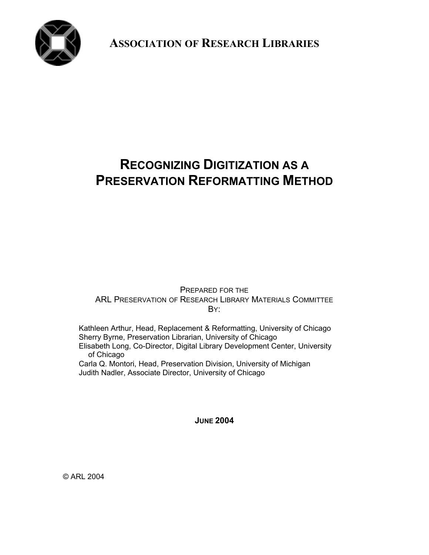

**ASSOCIATION OF RESEARCH LIBRARIES**

# **RECOGNIZING DIGITIZATION AS A PRESERVATION REFORMATTING METHOD**

PREPARED FOR THE ARL PRESERVATION OF RESEARCH LIBRARY MATERIALS COMMITTEE B<sub>Y:</sub>

Kathleen Arthur, Head, Replacement & Reformatting, University of Chicago Sherry Byrne, Preservation Librarian, University of Chicago Elisabeth Long, Co-Director, Digital Library Development Center, University of Chicago Carla Q. Montori, Head, Preservation Division, University of Michigan

Judith Nadler, Associate Director, University of Chicago

**JUNE 2004**

© ARL 2004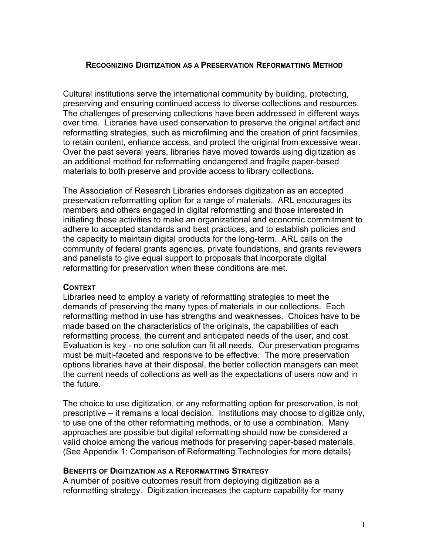# **RECOGNIZING DIGITIZATION AS A PRESERVATION REFORMATTING METHOD**

Cultural institutions serve the international community by building, protecting, preserving and ensuring continued access to diverse collections and resources. The challenges of preserving collections have been addressed in different ways over time. Libraries have used conservation to preserve the original artifact and reformatting strategies, such as microfilming and the creation of print facsimiles, to retain content, enhance access, and protect the original from excessive wear. Over the past several years, libraries have moved towards using digitization as an additional method for reformatting endangered and fragile paper-based materials to both preserve and provide access to library collections.

The Association of Research Libraries endorses digitization as an accepted preservation reformatting option for a range of materials. ARL encourages its members and others engaged in digital reformatting and those interested in initiating these activities to make an organizational and economic commitment to adhere to accepted standards and best practices, and to establish policies and the capacity to maintain digital products for the long-term. ARL calls on the community of federal grants agencies, private foundations, and grants reviewers and panelists to give equal support to proposals that incorporate digital reformatting for preservation when these conditions are met.

### **CONTEXT**

Libraries need to employ a variety of reformatting strategies to meet the demands of preserving the many types of materials in our collections. Each reformatting method in use has strengths and weaknesses. Choices have to be made based on the characteristics of the originals, the capabilities of each reformatting process, the current and anticipated needs of the user, and cost. Evaluation is key - no one solution can fit all needs. Our preservation programs must be multi-faceted and responsive to be effective. The more preservation options libraries have at their disposal, the better collection managers can meet the current needs of collections as well as the expectations of users now and in the future.

The choice to use digitization, or any reformatting option for preservation, is not prescriptive – it remains a local decision. Institutions may choose to digitize only, to use one of the other reformatting methods, or to use a combination. Many approaches are possible but digital reformatting should now be considered a valid choice among the various methods for preserving paper-based materials. (See Appendix 1: Comparison of Reformatting Technologies for more details)

# **BENEFITS OF DIGITIZATION AS A REFORMATTING STRATEGY**

A number of positive outcomes result from deploying digitization as a reformatting strategy. Digitization increases the capture capability for many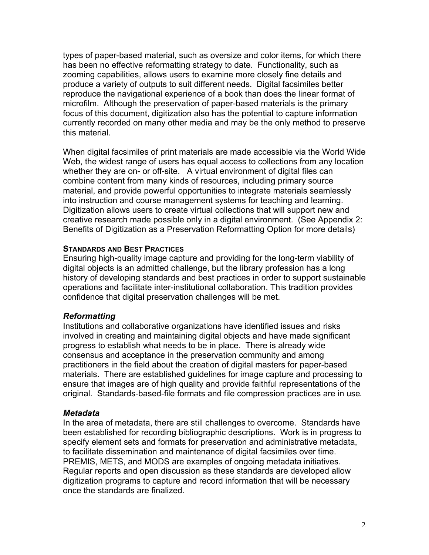types of paper-based material, such as oversize and color items, for which there has been no effective reformatting strategy to date. Functionality, such as zooming capabilities, allows users to examine more closely fine details and produce a variety of outputs to suit different needs. Digital facsimiles better reproduce the navigational experience of a book than does the linear format of microfilm. Although the preservation of paper-based materials is the primary focus of this document, digitization also has the potential to capture information currently recorded on many other media and may be the only method to preserve this material.

When digital facsimiles of print materials are made accessible via the World Wide Web, the widest range of users has equal access to collections from any location whether they are on- or off-site. A virtual environment of digital files can combine content from many kinds of resources, including primary source material, and provide powerful opportunities to integrate materials seamlessly into instruction and course management systems for teaching and learning. Digitization allows users to create virtual collections that will support new and creative research made possible only in a digital environment. (See Appendix 2: Benefits of Digitization as a Preservation Reformatting Option for more details)

# **STANDARDS AND BEST PRACTICES**

Ensuring high-quality image capture and providing for the long-term viability of digital objects is an admitted challenge, but the library profession has a long history of developing standards and best practices in order to support sustainable operations and facilitate inter-institutional collaboration. This tradition provides confidence that digital preservation challenges will be met.

# *Reformatting*

Institutions and collaborative organizations have identified issues and risks involved in creating and maintaining digital objects and have made significant progress to establish what needs to be in place. There is already wide consensus and acceptance in the preservation community and among practitioners in the field about the creation of digital masters for paper-based materials. There are established guidelines for image capture and processing to ensure that images are of high quality and provide faithful representations of the original. Standards-based-file formats and file compression practices are in use*.*

### *Metadata*

In the area of metadata, there are still challenges to overcome. Standards have been established for recording bibliographic descriptions. Work is in progress to specify element sets and formats for preservation and administrative metadata, to facilitate dissemination and maintenance of digital facsimiles over time. PREMIS, METS, and MODS are examples of ongoing metadata initiatives. Regular reports and open discussion as these standards are developed allow digitization programs to capture and record information that will be necessary once the standards are finalized.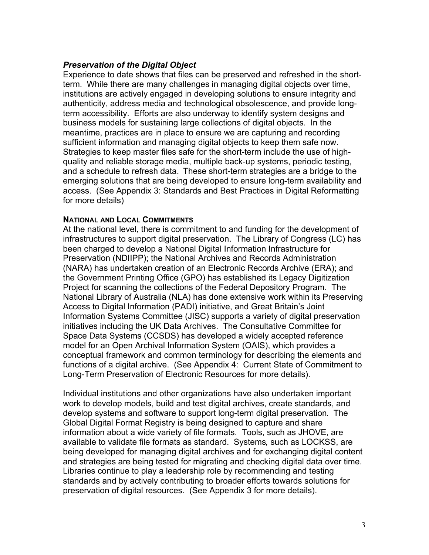# *Preservation of the Digital Object*

Experience to date shows that files can be preserved and refreshed in the shortterm. While there are many challenges in managing digital objects over time, institutions are actively engaged in developing solutions to ensure integrity and authenticity, address media and technological obsolescence, and provide longterm accessibility. Efforts are also underway to identify system designs and business models for sustaining large collections of digital objects. In the meantime, practices are in place to ensure we are capturing and recording sufficient information and managing digital objects to keep them safe now. Strategies to keep master files safe for the short-term include the use of highquality and reliable storage media, multiple back-up systems, periodic testing, and a schedule to refresh data. These short-term strategies are a bridge to the emerging solutions that are being developed to ensure long-term availability and access. (See Appendix 3: Standards and Best Practices in Digital Reformatting for more details)

## **NATIONAL AND LOCAL COMMITMENTS**

At the national level, there is commitment to and funding for the development of infrastructures to support digital preservation. The Library of Congress (LC) has been charged to develop a National Digital Information Infrastructure for Preservation (NDIIPP); the National Archives and Records Administration (NARA) has undertaken creation of an Electronic Records Archive (ERA); and the Government Printing Office (GPO) has established its Legacy Digitization Project for scanning the collections of the Federal Depository Program. The National Library of Australia (NLA) has done extensive work within its Preserving Access to Digital Information (PADI) initiative, and Great Britain's Joint Information Systems Committee (JISC) supports a variety of digital preservation initiatives including the UK Data Archives. The Consultative Committee for Space Data Systems (CCSDS) has developed a widely accepted reference model for an Open Archival Information System (OAIS), which provides a conceptual framework and common terminology for describing the elements and functions of a digital archive. (See Appendix 4: Current State of Commitment to Long-Term Preservation of Electronic Resources for more details).

Individual institutions and other organizations have also undertaken important work to develop models, build and test digital archives, create standards, and develop systems and software to support long-term digital preservation*.* The Global Digital Format Registry is being designed to capture and share information about a wide variety of file formats. Tools, such as JHOVE, are available to validate file formats as standard. Systems*,* such as LOCKSS, are being developed for managing digital archives and for exchanging digital content and strategies are being tested for migrating and checking digital data over time. Libraries continue to play a leadership role by recommending and testing standards and by actively contributing to broader efforts towards solutions for preservation of digital resources. (See Appendix 3 for more details).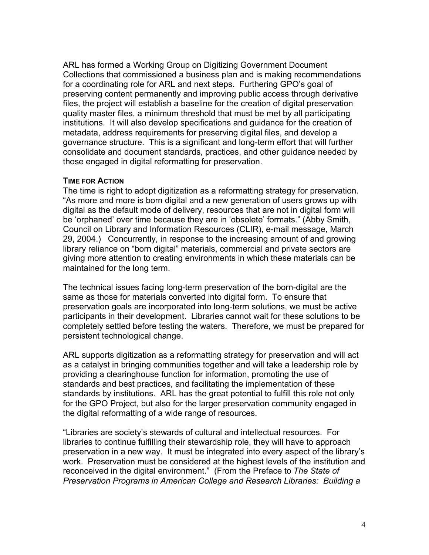ARL has formed a Working Group on Digitizing Government Document Collections that commissioned a business plan and is making recommendations for a coordinating role for ARL and next steps. Furthering GPO's goal of preserving content permanently and improving public access through derivative files, the project will establish a baseline for the creation of digital preservation quality master files, a minimum threshold that must be met by all participating institutions. It will also develop specifications and guidance for the creation of metadata, address requirements for preserving digital files, and develop a governance structure. This is a significant and long-term effort that will further consolidate and document standards, practices, and other guidance needed by those engaged in digital reformatting for preservation.

## **TIME FOR ACTION**

The time is right to adopt digitization as a reformatting strategy for preservation. "As more and more is born digital and a new generation of users grows up with digital as the default mode of delivery, resources that are not in digital form will be 'orphaned' over time because they are in 'obsolete' formats." (Abby Smith, Council on Library and Information Resources (CLIR), e-mail message, March 29, 2004.) Concurrently, in response to the increasing amount of and growing library reliance on "born digital" materials, commercial and private sectors are giving more attention to creating environments in which these materials can be maintained for the long term.

The technical issues facing long-term preservation of the born-digital are the same as those for materials converted into digital form. To ensure that preservation goals are incorporated into long-term solutions, we must be active participants in their development. Libraries cannot wait for these solutions to be completely settled before testing the waters. Therefore, we must be prepared for persistent technological change.

ARL supports digitization as a reformatting strategy for preservation and will act as a catalyst in bringing communities together and will take a leadership role by providing a clearinghouse function for information, promoting the use of standards and best practices, and facilitating the implementation of these standards by institutions. ARL has the great potential to fulfill this role not only for the GPO Project, but also for the larger preservation community engaged in the digital reformatting of a wide range of resources.

"Libraries are society's stewards of cultural and intellectual resources. For libraries to continue fulfilling their stewardship role, they will have to approach preservation in a new way. It must be integrated into every aspect of the library's work. Preservation must be considered at the highest levels of the institution and reconceived in the digital environment." (From the Preface to *The State of Preservation Programs in American College and Research Libraries: Building a*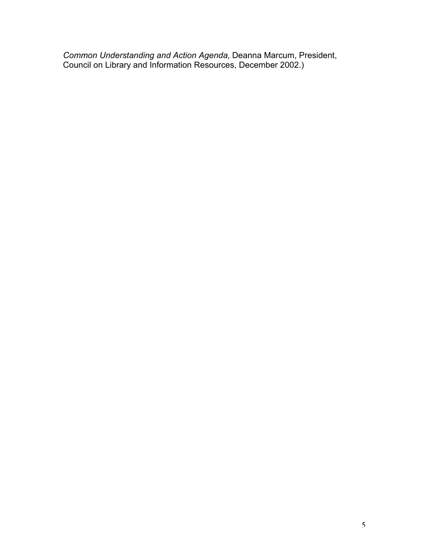*Common Understanding and Action Agenda*, Deanna Marcum, President, Council on Library and Information Resources, December 2002.)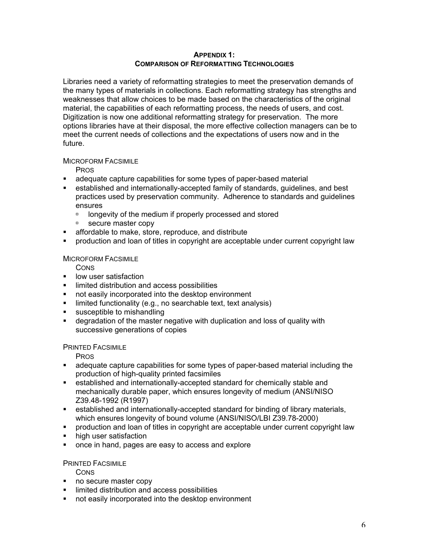#### **APPENDIX 1: COMPARISON OF REFORMATTING TECHNOLOGIES**

Libraries need a variety of reformatting strategies to meet the preservation demands of the many types of materials in collections. Each reformatting strategy has strengths and weaknesses that allow choices to be made based on the characteristics of the original material, the capabilities of each reformatting process, the needs of users, and cost. Digitization is now one additional reformatting strategy for preservation. The more options libraries have at their disposal, the more effective collection managers can be to meet the current needs of collections and the expectations of users now and in the future.

#### MICROFORM FACSIMILE

PROS

- **EXED** adequate capture capabilities for some types of paper-based material
- **EXECT** established and internationally-accepted family of standards, guidelines, and best practices used by preservation community. Adherence to standards and guidelines ensures
	- ˙ longevity of the medium if properly processed and stored
	- □ secure master copy
- ß affordable to make, store, reproduce, and distribute
- ß production and loan of titles in copyright are acceptable under current copyright law

## MICROFORM FACSIMILE

**CONS** 

- **EXECUTE:** low user satisfaction
- **Induced distribution and access possibilities**
- not easily incorporated into the desktop environment
- $\blacksquare$  limited functionality (e.g., no searchable text, text analysis)
- **susceptible to mishandling**
- **EXEDED FOR THE MAST CORRY IS A GETT** degradation and loss of quality with successive generations of copies

### PRINTED FACSIMILE

**PROS** 

- **Example 2** adequate capture capabilities for some types of paper-based material including the production of high-quality printed facsimiles
- **EXECTED EXECTED** established and internationally-accepted standard for chemically stable and mechanically durable paper, which ensures longevity of medium (ANSI/NISO Z39.48-1992 (R1997)
- **EXECT** established and internationally-accepted standard for binding of library materials, which ensures longevity of bound volume (ANSI/NISO/LBI Z39.78-2000)
- production and loan of titles in copyright are acceptable under current copyright law
- high user satisfaction
- once in hand, pages are easy to access and explore

# PRINTED FACSIMILE

**CONS** 

- no secure master copy
- **Induced distribution and access possibilities**
- not easily incorporated into the desktop environment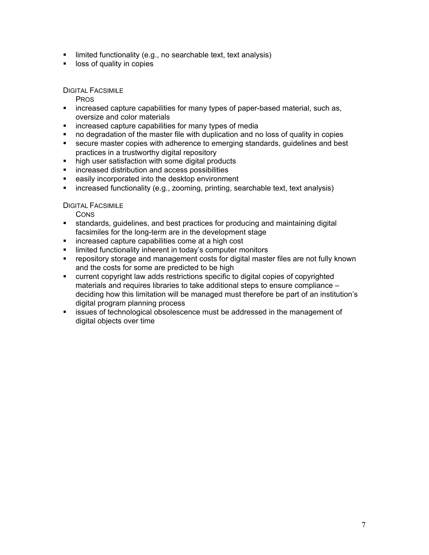- $\blacksquare$  limited functionality (e.g., no searchable text, text analysis)
- **If** loss of quality in copies

DIGITAL FACSIMILE

PROS

- **Example 2** increased capture capabilities for many types of paper-based material, such as, oversize and color materials
- **EXEDENT increased capture capabilities for many types of media**
- no degradation of the master file with duplication and no loss of quality in copies
- **EXECUTE MASTER SECUTE:** Secure master copies with adherence to emerging standards, guidelines and best practices in a trustworthy digital repository
- high user satisfaction with some digital products
- **EXEC** increased distribution and access possibilities
- **EXECT** easily incorporated into the desktop environment
- **EXED** increased functionality (e.g., zooming, printing, searchable text, text analysis)

DIGITAL FACSIMILE

**CONS** 

- **standards, guidelines, and best practices for producing and maintaining digital** facsimiles for the long-term are in the development stage
- **EXEDERED increased capture capabilities come at a high cost**
- **EXED** limited functionality inherent in today's computer monitors
- **repository storage and management costs for digital master files are not fully known** and the costs for some are predicted to be high
- ß current copyright law adds restrictions specific to digital copies of copyrighted materials and requires libraries to take additional steps to ensure compliance – deciding how this limitation will be managed must therefore be part of an institution's digital program planning process
- **EXECTS** issues of technological obsolescence must be addressed in the management of digital objects over time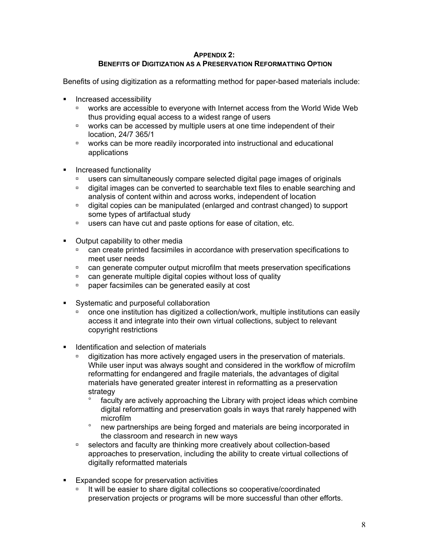#### **APPENDIX 2: BENEFITS OF DIGITIZATION AS A PRESERVATION REFORMATTING OPTION**

Benefits of using digitization as a reformatting method for paper-based materials include:

- **Increased accessibility** 
	- ˙ works are accessible to everyone with Internet access from the World Wide Web thus providing equal access to a widest range of users
	- □ works can be accessed by multiple users at one time independent of their location, 24/7 365/1
	- ˙ works can be more readily incorporated into instructional and educational applications
- **Increased functionality** 
	- ˙ users can simultaneously compare selected digital page images of originals
	- ˙ digital images can be converted to searchable text files to enable searching and analysis of content within and across works, independent of location
	- ˙ digital copies can be manipulated (enlarged and contrast changed) to support some types of artifactual study
	- ˙ users can have cut and paste options for ease of citation, etc.
- Output capability to other media
	- ˙ can create printed facsimiles in accordance with preservation specifications to meet user needs
	- ˙ can generate computer output microfilm that meets preservation specifications
	- ˙ can generate multiple digital copies without loss of quality
	- ˙ paper facsimiles can be generated easily at cost
- Systematic and purposeful collaboration
	- ˙ once one institution has digitized a collection/work, multiple institutions can easily access it and integrate into their own virtual collections, subject to relevant copyright restrictions
- **In Identification and selection of materials** 
	- ˙ digitization has more actively engaged users in the preservation of materials. While user input was always sought and considered in the workflow of microfilm reformatting for endangered and fragile materials, the advantages of digital materials have generated greater interest in reformatting as a preservation strategy

faculty are actively approaching the Library with project ideas which combine digital reformatting and preservation goals in ways that rarely happened with microfilm

new partnerships are being forged and materials are being incorporated in the classroom and research in new ways

- □ selectors and faculty are thinking more creatively about collection-based approaches to preservation, including the ability to create virtual collections of digitally reformatted materials
- **Expanded scope for preservation activities** 
	- □ It will be easier to share digital collections so cooperative/coordinated preservation projects or programs will be more successful than other efforts.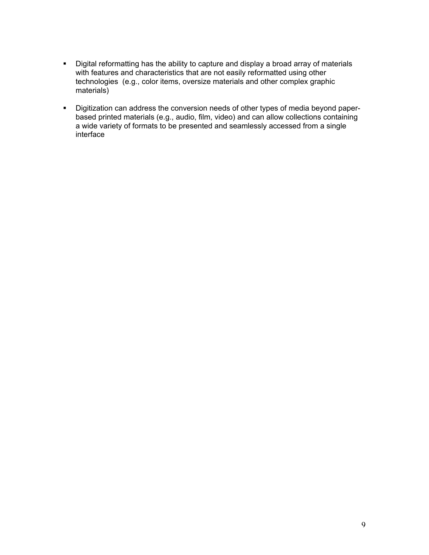- Digital reformatting has the ability to capture and display a broad array of materials with features and characteristics that are not easily reformatted using other technologies (e.g., color items, oversize materials and other complex graphic materials)
- **•** Digitization can address the conversion needs of other types of media beyond paperbased printed materials (e.g., audio, film, video) and can allow collections containing a wide variety of formats to be presented and seamlessly accessed from a single interface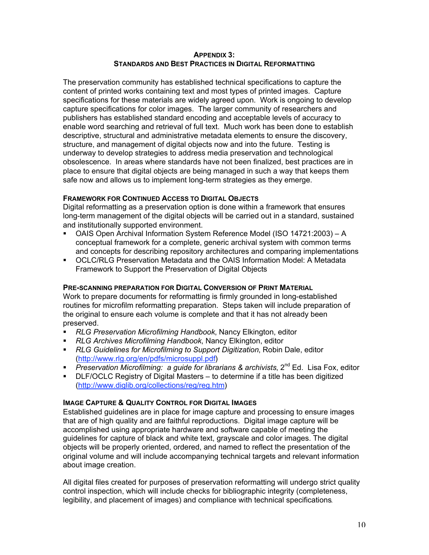#### **APPENDIX 3: STANDARDS AND BEST PRACTICES IN DIGITAL REFORMATTING**

The preservation community has established technical specifications to capture the content of printed works containing text and most types of printed images. Capture specifications for these materials are widely agreed upon. Work is ongoing to develop capture specifications for color images. The larger community of researchers and publishers has established standard encoding and acceptable levels of accuracy to enable word searching and retrieval of full text. Much work has been done to establish descriptive, structural and administrative metadata elements to ensure the discovery, structure, and management of digital objects now and into the future. Testing is underway to develop strategies to address media preservation and technological obsolescence. In areas where standards have not been finalized, best practices are in place to ensure that digital objects are being managed in such a way that keeps them safe now and allows us to implement long-term strategies as they emerge.

#### **FRAMEWORK FOR CONTINUED ACCESS TO DIGITAL OBJECTS**

Digital reformatting as a preservation option is done within a framework that ensures long-term management of the digital objects will be carried out in a standard, sustained and institutionally supported environment.

- ß OAIS Open Archival Information System Reference Model (ISO 14721:2003) A conceptual framework for a complete, generic archival system with common terms and concepts for describing repository architectures and comparing implementations
- **OCLC/RLG Preservation Metadata and the OAIS Information Model: A Metadata** Framework to Support the Preservation of Digital Objects

#### **PRE-SCANNING PREPARATION FOR DIGITAL CONVERSION OF PRINT MATERIAL**

Work to prepare documents for reformatting is firmly grounded in long-established routines for microfilm reformatting preparation. Steps taken will include preparation of the original to ensure each volume is complete and that it has not already been preserved.

- **RLG Preservation Microfilming Handbook, Nancy Elkington, editor**
- ß *RLG Archives Microfilming Handbook*, Nancy Elkington, editor
- ß *RLG Guidelines for Microfilming to Support Digitization*, Robin Dale, editor (http://www.rlg.org/en/pdfs/microsuppl.pdf)
- **Preservation Microfilming: a quide for librarians & archivists, 2<sup>nd</sup> Ed. Lisa Fox, editor**
- **DLF/OCLC Registry of Digital Masters to determine if a title has been digitized** (http://www.diglib.org/collections/reg/reg.htm)

#### **IMAGE CAPTURE & QUALITY CONTROL FOR DIGITAL IMAGES**

Established guidelines are in place for image capture and processing to ensure images that are of high quality and are faithful reproductions. Digital image capture will be accomplished using appropriate hardware and software capable of meeting the guidelines for capture of black and white text, grayscale and color images. The digital objects will be properly oriented, ordered, and named to reflect the presentation of the original volume and will include accompanying technical targets and relevant information about image creation.

All digital files created for purposes of preservation reformatting will undergo strict quality control inspection, which will include checks for bibliographic integrity (completeness, legibility, and placement of images) and compliance with technical specifications*.*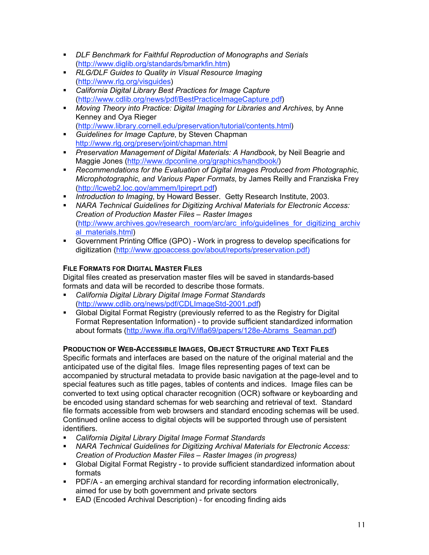- **DLF Benchmark for Faithful Reproduction of Monographs and Serials** (http://www.diglib.org/standards/bmarkfin.htm)
- ß *RLG/DLF Guides to Quality in Visual Resource Imaging* (http://www.rlg.org/visguides)
- ß *California Digital Library Best Practices for Image Capture* (http://www.cdlib.org/news/pdf/BestPracticeImageCapture.pdf)
- **Moving Theory into Practice: Digital Imaging for Libraries and Archives, by Anne** Kenney and Oya Rieger (http://www.library.cornell.edu/preservation/tutorial/contents.html)
- **Guidelines for Image Capture, by Steven Chapman** http://www.rlg.org/preserv/joint/chapman.html
- **Preservation Management of Digital Materials: A Handbook, by Neil Beagrie and** Maggie Jones (http://www.dpconline.org/graphics/handbook/)
- **Recommendations for the Evaluation of Digital Images Produced from Photographic,** *Microphotographic, and Various Paper Formats*, by James Reilly and Franziska Frey (http://lcweb2.loc.gov/ammem/Ipireprt.pdf)
- **Introduction to Imaging, by Howard Besser. Getty Research Institute, 2003.**
- **NARA Technical Guidelines for Digitizing Archival Materials for Electronic Access:** *Creation of Production Master Files – Raster Images* (http://www.archives.gov/research\_room/arc/arc\_info/guidelines\_for\_digitizing\_archiv al materials.html)
- ß Government Printing Office (GPO) Work in progress to develop specifications for digitization (http://www.gpoaccess.gov/about/reports/preservation.pdf)

# **FILE FORMATS FOR DIGITAL MASTER FILES**

Digital files created as preservation master files will be saved in standards-based formats and data will be recorded to describe those formats.

- ß *California Digital Library Digital Image Format Standards* (http://www.cdlib.org/news/pdf/CDLImageStd-2001.pdf)
- **Global Digital Format Registry (previously referred to as the Registry for Digital** Format Representation Information) - to provide sufficient standardized information about formats (http://www.ifla.org/IV/ifla69/papers/128e-Abrams\_Seaman.pdf)

# **PRODUCTION OF WEB-ACCESSIBLE IMAGES, OBJECT STRUCTURE AND TEXT FILES**

Specific formats and interfaces are based on the nature of the original material and the anticipated use of the digital files. Image files representing pages of text can be accompanied by structural metadata to provide basic navigation at the page-level and to special features such as title pages, tables of contents and indices. Image files can be converted to text using optical character recognition (OCR) software or keyboarding and be encoded using standard schemas for web searching and retrieval of text. Standard file formats accessible from web browsers and standard encoding schemas will be used. Continued online access to digital objects will be supported through use of persistent identifiers.

- ß *California Digital Library Digital Image Format Standards*
- ß *NARA Technical Guidelines for Digitizing Archival Materials for Electronic Access: Creation of Production Master Files – Raster Images (in progress)*
- **Global Digital Format Registry to provide sufficient standardized information about** formats
- **PDF/A an emerging archival standard for recording information electronically,** aimed for use by both government and private sectors
- **EAD (Encoded Archival Description)** for encoding finding aids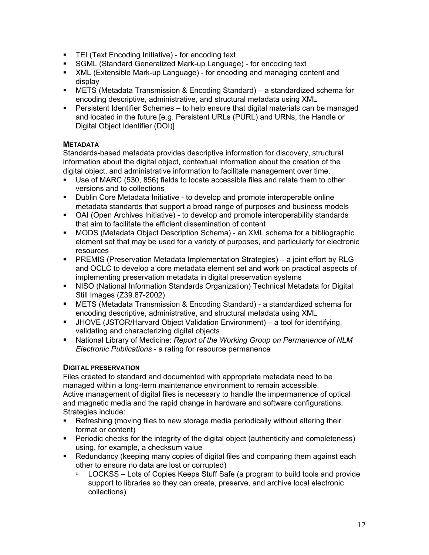- **FILE** (Text Encoding Initiative) for encoding text
- **SGML (Standard Generalized Mark-up Language) for encoding text**
- **KML (Extensible Mark-up Language) for encoding and managing content and** display
- ß METS (Metadata Transmission & Encoding Standard) a standardized schema for encoding descriptive, administrative, and structural metadata using XML
- **Persistent Identifier Schemes to help ensure that digital materials can be managed** and located in the future [e.g. Persistent URLs (PURL) and URNs, the Handle or Digital Object Identifier (DOI)]

## **METADATA**

Standards-based metadata provides descriptive information for discovery, structural information about the digital object, contextual information about the creation of the digital object, and administrative information to facilitate management over time.

- **Use of MARC (530, 856) fields to locate accessible files and relate them to other** versions and to collections
- Dublin Core Metadata Initiative to develop and promote interoperable online metadata standards that support a broad range of purposes and business models
- OAI (Open Archives Initiative) to develop and promote interoperability standards that aim to facilitate the efficient dissemination of content
- **MODS (Metadata Object Description Schema) an XML schema for a bibliographic** element set that may be used for a variety of purposes, and particularly for electronic resources
- ß PREMIS (Preservation Metadata Implementation Strategies) a joint effort by RLG and OCLC to develop a core metadata element set and work on practical aspects of implementing preservation metadata in digital preservation systems
- **NISO (National Information Standards Organization) Technical Metadata for Digital** Still Images (Z39.87-2002)
- **E** METS (Metadata Transmission & Encoding Standard) a standardized schema for encoding descriptive, administrative, and structural metadata using XML
- ß JHOVE (JSTOR/Harvard Object Validation Environment) a tool for identifying, validating and characterizing digital objects
- National Library of Medicine: *Report of the Working Group on Permanence of NLM Electronic Publications* - a rating for resource permanence

### **DIGITAL PRESERVATION**

Files created to standard and documented with appropriate metadata need to be managed within a long-term maintenance environment to remain accessible. Active management of digital files is necessary to handle the impermanence of optical and magnetic media and the rapid change in hardware and software configurations. Strategies include:

- **•** Refreshing (moving files to new storage media periodically without altering their format or content)
- **Periodic checks for the integrity of the digital object (authenticity and completeness)** using, for example, a checksum value
- Redundancy (keeping many copies of digital files and comparing them against each other to ensure no data are lost or corrupted)
	- □ LOCKSS Lots of Copies Keeps Stuff Safe (a program to build tools and provide support to libraries so they can create, preserve, and archive local electronic collections)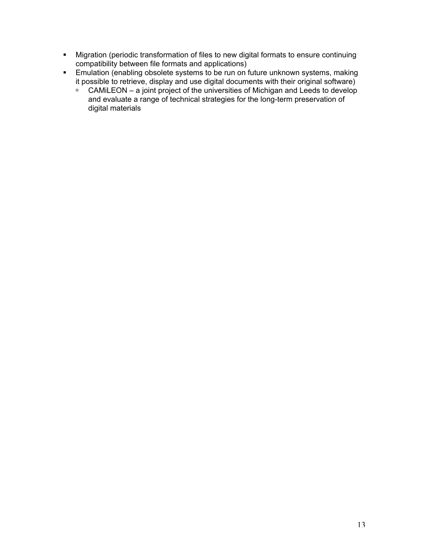- **Migration (periodic transformation of files to new digital formats to ensure continuing** compatibility between file formats and applications)
- **Emulation (enabling obsolete systems to be run on future unknown systems, making** it possible to retrieve, display and use digital documents with their original software)
	- $\overline{P}$  CAMiLEON a joint project of the universities of Michigan and Leeds to develop and evaluate a range of technical strategies for the long-term preservation of digital materials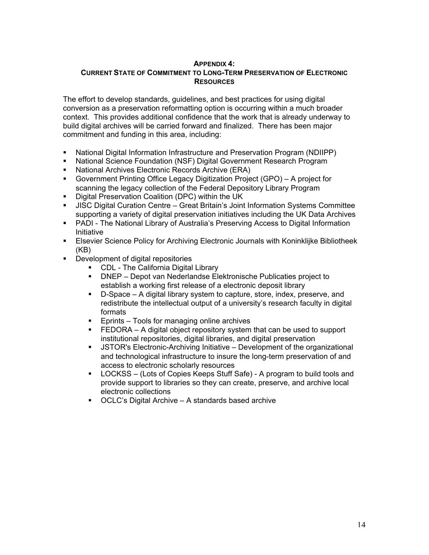#### **APPENDIX 4: CURRENT STATE OF COMMITMENT TO LONG-TERM PRESERVATION OF ELECTRONIC RESOURCES**

The effort to develop standards, guidelines, and best practices for using digital conversion as a preservation reformatting option is occurring within a much broader context. This provides additional confidence that the work that is already underway to build digital archives will be carried forward and finalized. There has been major commitment and funding in this area, including:

- **National Digital Information Infrastructure and Preservation Program (NDIIPP)**
- **National Science Foundation (NSF) Digital Government Research Program**
- ß National Archives Electronic Records Archive (ERA)
- ß Government Printing Office Legacy Digitization Project (GPO) A project for scanning the legacy collection of the Federal Depository Library Program
- ß Digital Preservation Coalition (DPC) within the UK
- **JISC Digital Curation Centre Great Britain's Joint Information Systems Committee** supporting a variety of digital preservation initiatives including the UK Data Archives
- **PADI The National Library of Australia's Preserving Access to Digital Information** Initiative
- **Elsevier Science Policy for Archiving Electronic Journals with Koninklijke Bibliotheek** (KB)
- **•** Development of digital repositories
	- CDL The California Digital Library
	- **DNEP** Depot van Nederlandse Elektronische Publicaties project to establish a working first release of a electronic deposit library
	- **•** D-Space A digital library system to capture, store, index, preserve, and redistribute the intellectual output of a university's research faculty in digital formats
	- **Eprints Tools for managing online archives**
	- **FEDORA** A digital object repository system that can be used to support institutional repositories, digital libraries, and digital preservation
	- **JSTOR's Electronic-Archiving Initiative Development of the organizational** and technological infrastructure to insure the long-term preservation of and access to electronic scholarly resources
	- ß LOCKSS (Lots of Copies Keeps Stuff Safe) A program to build tools and provide support to libraries so they can create, preserve, and archive local electronic collections
	- $\blacksquare$  OCLC's Digital Archive A standards based archive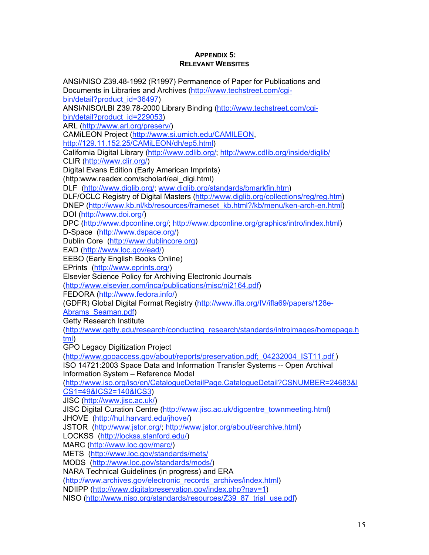#### **APPENDIX 5: RELEVANT WEBSITES**

ANSI/NISO Z39.48-1992 (R1997) Permanence of Paper for Publications and Documents in Libraries and Archives (http://www.techstreet.com/cgibin/detail?product\_id=36497) ANSI/NISO/LBI Z39.78-2000 Library Binding (http://www.techstreet.com/cgibin/detail?product\_id=229053) ARL (http://www.arl.org/preserv/) CAMiLEON Project (http://www.si.umich.edu/CAMILEON, http://129.11.152.25/CAMiLEON/dh/ep5.html) California Digital Library (http://www.cdlib.org/; http://www.cdlib.org/inside/diglib/ CLIR (http://www.clir.org/) Digital Evans Edition (Early American Imprints) (http:www.readex.com/scholarl/eai\_digi.html) DLF (http://www.diglib.org/; www.diglib.org/standards/bmarkfin.htm) DLF/OCLC Registry of Digital Masters (http://www.diglib.org/collections/reg/reg.htm) DNEP (http://www.kb.nl/kb/resources/frameset\_kb.html?/kb/menu/ken-arch-en.html) DOI (http://www.doi.org/) DPC (http://www.dpconline.org/; http://www.dpconline.org/graphics/intro/index.html) D-Space (http://www.dspace.org/) Dublin Core (http://www.dublincore.org) EAD (http://www.loc.gov/ead/) EEBO (Early English Books Online) EPrints (http://www.eprints.org/) Elsevier Science Policy for Archiving Electronic Journals (http://www.elsevier.com/inca/publications/misc/ni2164.pdf) FEDORA (http://www.fedora.info/) (GDFR) Global Digital Format Registry (http://www.ifla.org/IV/ifla69/papers/128e-Abrams\_Seaman.pdf) Getty Research Institute (http://www.getty.edu/research/conducting\_research/standards/introimages/homepage.h tml) GPO Legacy Digitization Project (http://www.gpoaccess.gov/about/reports/preservation.pdf; 04232004\_IST11.pdf ) ISO 14721:2003 Space Data and Information Transfer Systems -- Open Archival Information System – Reference Model (http://www.iso.org/iso/en/CatalogueDetailPage.CatalogueDetail?CSNUMBER=24683&I CS1=49&ICS2=140&ICS3) JISC (http://www.jisc.ac.uk/) JISC Digital Curation Centre (http://www.jisc.ac.uk/digcentre\_townmeeting.html) JHOVE (http://hul.harvard.edu/jhove/) JSTOR (http://www.jstor.org/; http://www.jstor.org/about/earchive.html) LOCKSS (http://lockss.stanford.edu/) MARC (http://www.loc.gov/marc/) METS (http://www.loc.gov/standards/mets/ MODS (http://www.loc.gov/standards/mods/) NARA Technical Guidelines (in progress) and ERA (http://www.archives.gov/electronic\_records\_archives/index.html) NDIIPP (http://www.digitalpreservation.gov/index.php?nav=1) NISO (http://www.niso.org/standards/resources/Z39\_87\_trial\_use.pdf)